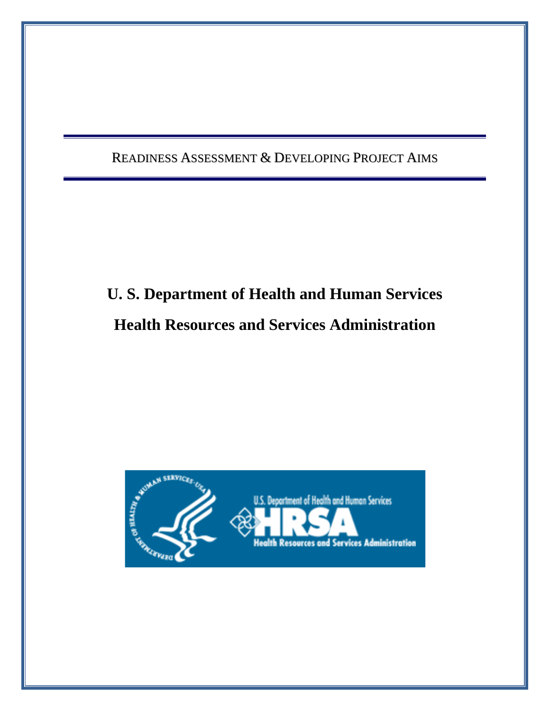READINESS ASSESSMENT & DEVELOPING PROJECT AIMS

# **U. S. Department of Health and Human Services Health Resources and Services Administration**

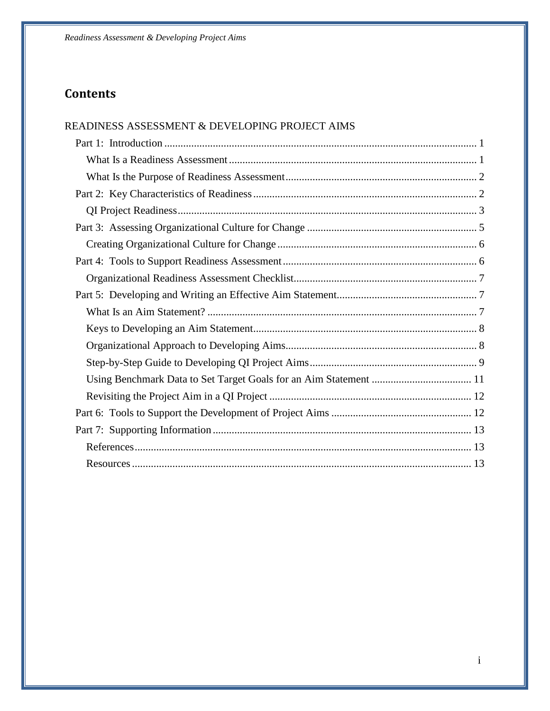### **Contents**

| READINESS ASSESSMENT & DEVELOPING PROJECT AIMS |  |
|------------------------------------------------|--|
|                                                |  |
|                                                |  |
|                                                |  |
|                                                |  |
|                                                |  |
|                                                |  |
|                                                |  |
|                                                |  |
|                                                |  |
|                                                |  |
|                                                |  |
|                                                |  |
|                                                |  |
|                                                |  |
|                                                |  |
|                                                |  |
|                                                |  |
|                                                |  |
|                                                |  |
|                                                |  |
|                                                |  |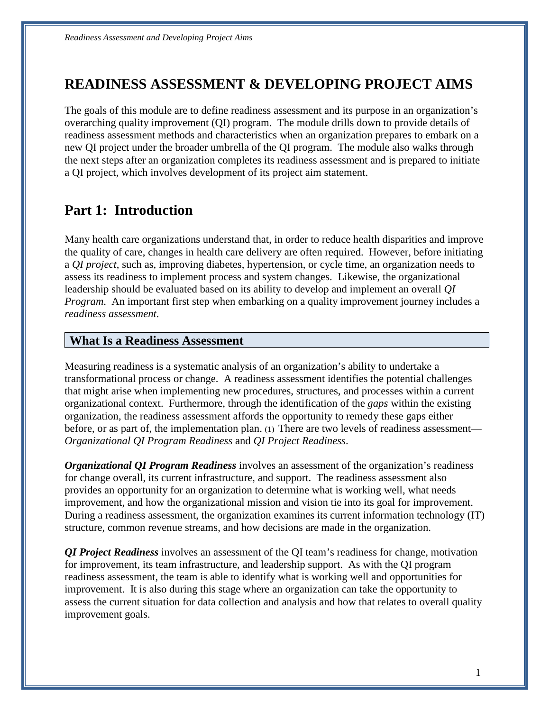# **READINESS ASSESSMENT & DEVELOPING PROJECT AIMS**

The goals of this module are to define readiness assessment and its purpose in an organization's overarching quality improvement (QI) program. The module drills down to provide details of readiness assessment methods and characteristics when an organization prepares to embark on a new QI project under the broader umbrella of the QI program. The module also walks through the next steps after an organization completes its readiness assessment and is prepared to initiate a QI project, which involves development of its project aim statement.

# <span id="page-2-0"></span>**Part 1: Introduction**

 assess its readiness to implement process and system changes. Likewise, the organizational Many health care organizations understand that, in order to reduce health disparities and improve the quality of care, changes in health care delivery are often required. However, before initiating a *QI project*, such as, improving diabetes, hypertension, or cycle time, an organization needs to leadership should be evaluated based on its ability to develop and implement an overall *QI Program*. An important first step when embarking on a quality improvement journey includes a *readiness assessment*.

#### <span id="page-2-1"></span>**What Is a Readiness Assessment**

 organizational context. Furthermore, through the identification of the *gaps* within the existing organization, the readiness assessment affords the opportunity to remedy these gaps either before, or as part of, the implementation plan. (1) There are two levels of readiness assessment— Measuring readiness is a systematic analysis of an organization's ability to undertake a transformational process or change. A readiness assessment identifies the potential challenges that might arise when implementing new procedures, structures, and processes within a current *Organizational QI Program Readiness* and *QI Project Readiness*.

*Organizational QI Program Readiness* involves an assessment of the organization's readiness for change overall, its current infrastructure, and support. The readiness assessment also provides an opportunity for an organization to determine what is working well, what needs improvement, and how the organizational mission and vision tie into its goal for improvement. During a readiness assessment, the organization examines its current information technology (IT) structure, common revenue streams, and how decisions are made in the organization.

 improvement. It is also during this stage where an organization can take the opportunity to *QI Project Readiness* involves an assessment of the QI team's readiness for change, motivation for improvement, its team infrastructure, and leadership support. As with the QI program readiness assessment, the team is able to identify what is working well and opportunities for assess the current situation for data collection and analysis and how that relates to overall quality improvement goals.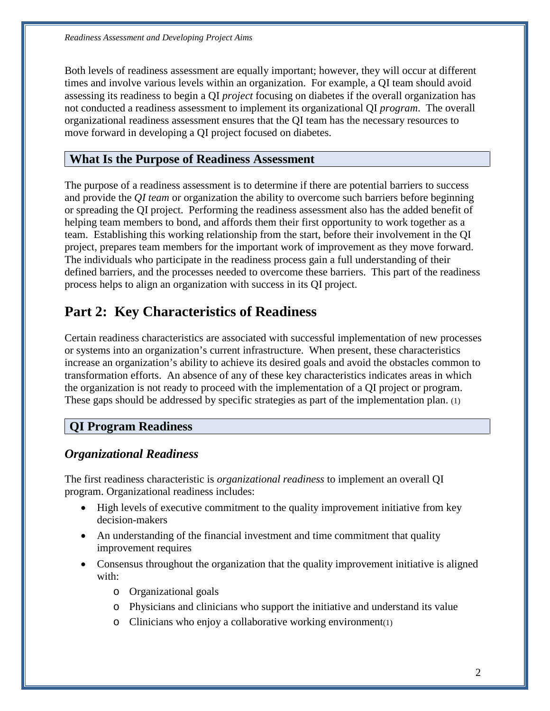organizational readiness assessment ensures that the QI team has the necessary resources to Both levels of readiness assessment are equally important; however, they will occur at different times and involve various levels within an organization. For example, a QI team should avoid assessing its readiness to begin a QI *project* focusing on diabetes if the overall organization has not conducted a readiness assessment to implement its organizational QI *program*. The overall move forward in developing a QI project focused on diabetes.

### <span id="page-3-0"></span>**What Is the Purpose of Readiness Assessment**

 The purpose of a readiness assessment is to determine if there are potential barriers to success and provide the *QI team* or organization the ability to overcome such barriers before beginning helping team members to bond, and affords them their first opportunity to work together as a project, prepares team members for the important work of improvement as they move forward. process helps to align an organization with success in its QI project. or spreading the QI project. Performing the readiness assessment also has the added benefit of team. Establishing this working relationship from the start, before their involvement in the QI The individuals who participate in the readiness process gain a full understanding of their defined barriers, and the processes needed to overcome these barriers. This part of the readiness

# <span id="page-3-1"></span>**Part 2: Key Characteristics of Readiness**

Certain readiness characteristics are associated with successful implementation of new processes or systems into an organization's current infrastructure. When present, these characteristics increase an organization's ability to achieve its desired goals and avoid the obstacles common to transformation efforts. An absence of any of these key characteristics indicates areas in which the organization is not ready to proceed with the implementation of a QI project or program. These gaps should be addressed by specific strategies as part of the implementation plan. (1)

## **QI Program Readiness**

#### *Organizational Readiness*

 program. Organizational readiness includes: The first readiness characteristic is *organizational readiness* to implement an overall QI

- High levels of executive commitment to the quality improvement initiative from key decision-makers
- improvement requires • An understanding of the financial investment and time commitment that quality
- Consensus throughout the organization that the quality improvement initiative is aligned with:
	- o Organizational goals
	- o Physicians and clinicians who support the initiative and understand its value
	- $\circ$  Clinicians who enjoy a collaborative working environment(1)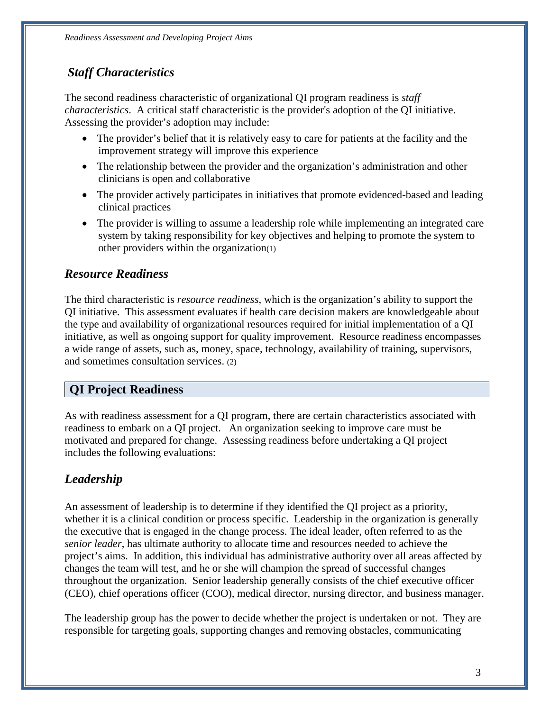## *Staff Characteristics*

 The second readiness characteristic of organizational QI program readiness is *staff*  Assessing the provider's adoption may include: *characteristics*. A critical staff characteristic is the provider's adoption of the QI initiative.

- The provider's belief that it is relatively easy to care for patients at the facility and the improvement strategy will improve this experience
- The relationship between the provider and the organization's administration and other clinicians is open and collaborative
- The provider actively participates in initiatives that promote evidenced-based and leading clinical practices
- The provider is willing to assume a leadership role while implementing an integrated care system by taking responsibility for key objectives and helping to promote the system to other providers within the organization(1)

### *Resource Readiness*

 QI initiative. This assessment evaluates if health care decision makers are knowledgeable about The third characteristic is *resource readiness*, which is the organization's ability to support the the type and availability of organizational resources required for initial implementation of a QI initiative, as well as ongoing support for quality improvement. Resource readiness encompasses a wide range of assets, such as, money, space, technology, availability of training, supervisors, and sometimes consultation services. (2)

## <span id="page-4-0"></span>**QI Project Readiness**

 motivated and prepared for change. Assessing readiness before undertaking a QI project includes the following evaluations: As with readiness assessment for a QI program, there are certain characteristics associated with readiness to embark on a QI project. An organization seeking to improve care must be

# *Leadership*

 (CEO), chief operations officer (COO), medical director, nursing director, and business manager. An assessment of leadership is to determine if they identified the QI project as a priority, whether it is a clinical condition or process specific. Leadership in the organization is generally the executive that is engaged in the change process. The ideal leader, often referred to as the *senior leader*, has ultimate authority to allocate time and resources needed to achieve the project's aims. In addition, this individual has administrative authority over all areas affected by changes the team will test, and he or she will champion the spread of successful changes throughout the organization. Senior leadership generally consists of the chief executive officer

The leadership group has the power to decide whether the project is undertaken or not. They are responsible for targeting goals, supporting changes and removing obstacles, communicating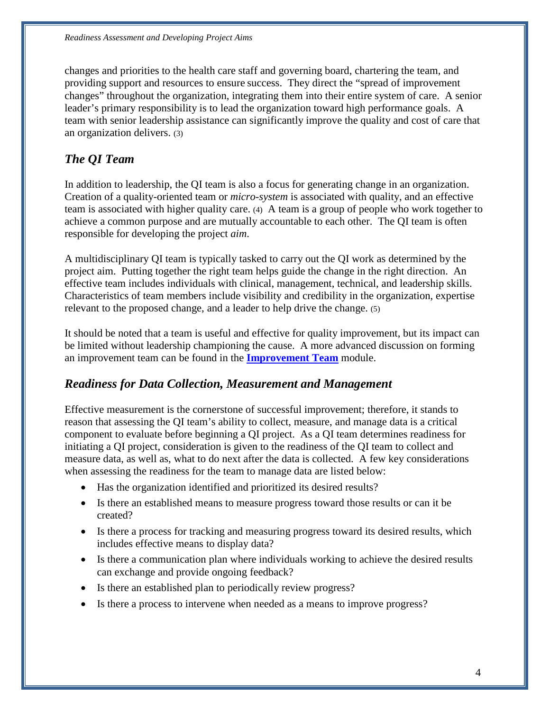leader's primary responsibility is to lead the organization toward high performance goals. A team with senior leadership assistance can significantly improve the quality and cost of care that changes and priorities to the health care staff and governing board, chartering the team, and providing support and resources to ensure success. They direct the "spread of improvement changes" throughout the organization, integrating them into their entire system of care. A senior an organization delivers. (3)

# *The QI Team*

 Creation of a quality-oriented team or *micro-system* is associated with quality, and an effective team is associated with higher quality care. (4) A team is a group of people who work together to achieve a common purpose and are mutually accountable to each other. The QI team is often responsible for developing the project *aim*. In addition to leadership, the QI team is also a focus for generating change in an organization.

 A multidisciplinary QI team is typically tasked to carry out the QI work as determined by the project aim. Putting together the right team helps guide the change in the right direction. An Characteristics of team members include visibility and credibility in the organization, expertise relevant to the proposed change, and a leader to help drive the change. (5) effective team includes individuals with clinical, management, technical, and leadership skills.

It should be noted that a team is useful and effective for quality improvement, but its impact can be limited without leadership championing the cause. A more advanced discussion on forming an improvement team can be found in the **Improvement Team** module.

#### *Readiness for Data Collection, Measurement and Management*

 measure data, as well as, what to do next after the data is collected. A few key considerations Effective measurement is the cornerstone of successful improvement; therefore, it stands to reason that assessing the QI team's ability to collect, measure, and manage data is a critical component to evaluate before beginning a QI project. As a QI team determines readiness for initiating a QI project, consideration is given to the readiness of the QI team to collect and when assessing the readiness for the team to manage data are listed below:

- Has the organization identified and prioritized its desired results?
- Is there an established means to measure progress toward those results or can it be created?
- Is there a process for tracking and measuring progress toward its desired results, which includes effective means to display data?
- can exchange and provide ongoing feedback? • Is there a communication plan where individuals working to achieve the desired results
- Is there an established plan to periodically review progress?
- Is there a process to intervene when needed as a means to improve progress?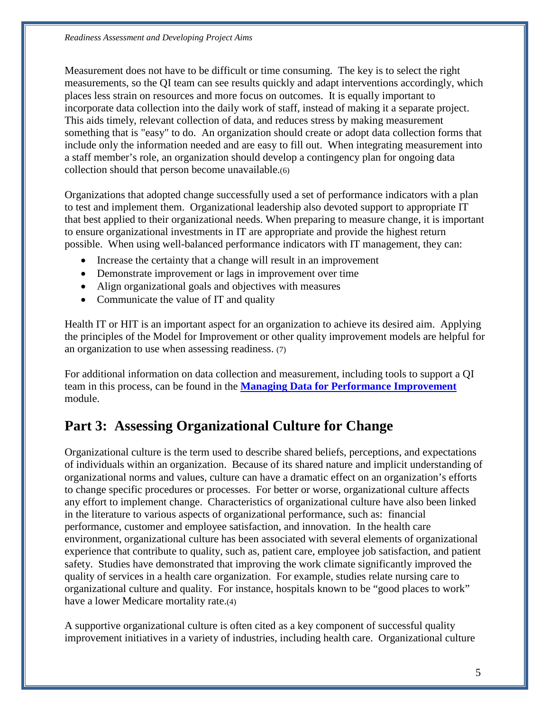Measurement does not have to be difficult or time consuming. The key is to select the right measurements, so the QI team can see results quickly and adapt interventions accordingly, which places less strain on resources and more focus on outcomes. It is equally important to incorporate data collection into the daily work of staff, instead of making it a separate project. This aids timely, relevant collection of data, and reduces stress by making measurement something that is "easy" to do. An organization should create or adopt data collection forms that include only the information needed and are easy to fill out. When integrating measurement into a staff member's role, an organization should develop a contingency plan for ongoing data collection should that person become unavailable.(6)

 Organizations that adopted change successfully used a set of performance indicators with a plan to ensure organizational investments in IT are appropriate and provide the highest return possible. When using well-balanced performance indicators with IT management, they can: to test and implement them. Organizational leadership also devoted support to appropriate IT that best applied to their organizational needs. When preparing to measure change, it is important

- Increase the certainty that a change will result in an improvement
- Demonstrate improvement or lags in improvement over time
- Align organizational goals and objectives with measures
- Communicate the value of IT and quality

 the principles of the Model for Improvement or other quality improvement models are helpful for Health IT or HIT is an important aspect for an organization to achieve its desired aim. Applying an organization to use when assessing readiness. (7)

For additional information on data collection and measurement, including tools to support a QI team in this process, can be found in the **Managing Data for Performance Improvement**  module.

# <span id="page-6-0"></span>**Part 3: Assessing Organizational Culture for Change**

 in the literature to various aspects of organizational performance, such as: financial quality of services in a health care organization. For example, studies relate nursing care to Organizational culture is the term used to describe shared beliefs, perceptions, and expectations of individuals within an organization. Because of its shared nature and implicit understanding of organizational norms and values, culture can have a dramatic effect on an organization's efforts to change specific procedures or processes. For better or worse, organizational culture affects any effort to implement change. Characteristics of organizational culture have also been linked performance, customer and employee satisfaction, and innovation. In the health care environment, organizational culture has been associated with several elements of organizational experience that contribute to quality, such as, patient care, employee job satisfaction, and patient safety. Studies have demonstrated that improving the work climate significantly improved the organizational culture and quality. For instance, hospitals known to be "good places to work" have a lower Medicare mortality rate.(4)

A supportive organizational culture is often cited as a key component of successful quality improvement initiatives in a variety of industries, including health care. Organizational culture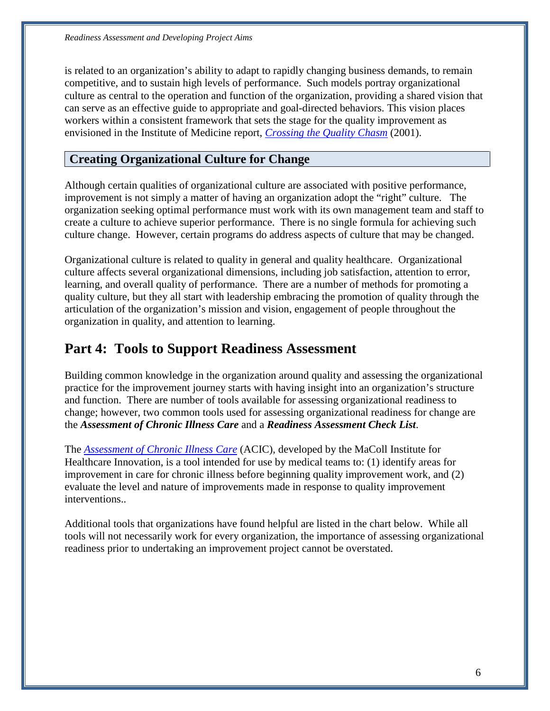is related to an organization's ability to adapt to rapidly changing business demands, to remain competitive, and to sustain high levels of performance. Such models portray organizational culture as central to the operation and function of the organization, providing a shared vision that can serve as an effective guide to appropriate and goal-directed behaviors. This vision places workers within a consistent framework that sets the stage for the quality improvement as envisioned in the Institute of Medicine report, *[Crossing the Quality Chasm](http://www.iom.edu/Reports/2001/Crossing-the-Quality-Chasm-A-New-Health-System-for-the-21st-Century.aspx)* (2001).

#### <span id="page-7-0"></span>**Creating Organizational Culture for Change**

 culture change. However, certain programs do address aspects of culture that may be changed. Although certain qualities of organizational culture are associated with positive performance, improvement is not simply a matter of having an organization adopt the "right" culture. The organization seeking optimal performance must work with its own management team and staff to create a culture to achieve superior performance. There is no single formula for achieving such

 learning, and overall quality of performance. There are a number of methods for promoting a Organizational culture is related to quality in general and quality healthcare. Organizational culture affects several organizational dimensions, including job satisfaction, attention to error, quality culture, but they all start with leadership embracing the promotion of quality through the articulation of the organization's mission and vision, engagement of people throughout the organization in quality, and attention to learning.

# <span id="page-7-1"></span>**Part 4: Tools to Support Readiness Assessment**

Building common knowledge in the organization around quality and assessing the organizational practice for the improvement journey starts with having insight into an organization's structure and function. There are number of tools available for assessing organizational readiness to change; however, two common tools used for assessing organizational readiness for change are the *Assessment of Chronic Illness Care* and a *Readiness Assessment Check List*.

 The *[Assessment of Chronic Illness Care](http://www.improvingchroniccare.org/downloads/acic_v3.0.pdf)* (ACIC), developed by the MaColl Institute for Healthcare Innovation, is a tool intended for use by medical teams to: (1) identify areas for improvement in care for chronic illness before beginning quality improvement work, and (2) evaluate the level and nature of improvements made in response to quality improvement interventions..

 Additional tools that organizations have found helpful are listed in the chart below. While all tools will not necessarily work for every organization, the importance of assessing organizational readiness prior to undertaking an improvement project cannot be overstated.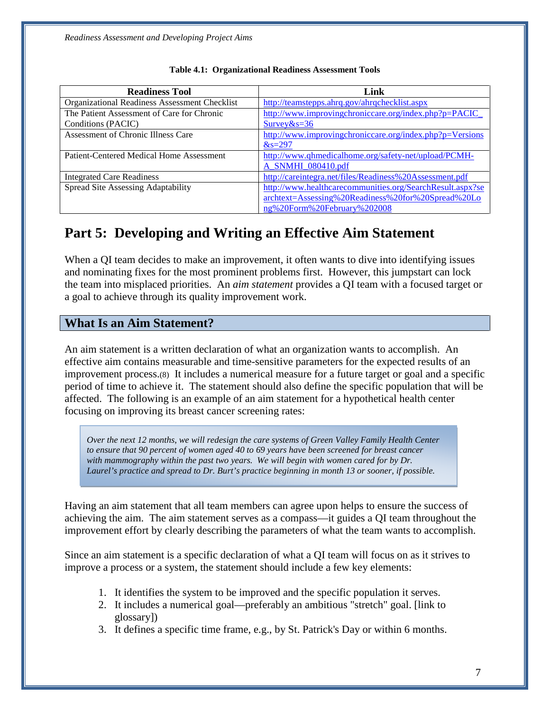<span id="page-8-0"></span>

| <b>Readiness Tool</b>                         | Link                                                      |
|-----------------------------------------------|-----------------------------------------------------------|
| Organizational Readiness Assessment Checklist | http://teamstepps.ahrq.gov/ahrqchecklist.aspx             |
| The Patient Assessment of Care for Chronic    | http://www.improvingchroniccare.org/index.php?p=PACIC     |
| Conditions (PACIC)                            | $Surve\&s=36$                                             |
| Assessment of Chronic Illness Care            | http://www.improvingchroniccare.org/index.php?p=Versions  |
|                                               | $&=297$                                                   |
| Patient-Centered Medical Home Assessment      | http://www.qhmedicalhome.org/safety-net/upload/PCMH-      |
|                                               | A SNMHI 080410.pdf                                        |
| <b>Integrated Care Readiness</b>              | http://careintegra.net/files/Readiness%20Assessment.pdf   |
| Spread Site Assessing Adaptability            | http://www.healthcarecommunities.org/SearchResult.aspx?se |
|                                               | archtext=Assessing%20Readiness%20for%20Spread%20Lo        |
|                                               | ng%20Form%20February%202008                               |

|  | <b>Table 4.1: Organizational Readiness Assessment Tools</b> |  |  |  |
|--|-------------------------------------------------------------|--|--|--|
|--|-------------------------------------------------------------|--|--|--|

# <span id="page-8-1"></span>**Part 5: Developing and Writing an Effective Aim Statement**

and the state of the state of the state of the state of the state of the state of the state of the state of th

 the team into misplaced priorities. An *aim statement* provides a QI team with a focused target or When a QI team decides to make an improvement, it often wants to dive into identifying issues and nominating fixes for the most prominent problems first. However, this jumpstart can lock a goal to achieve through its quality improvement work.

#### <span id="page-8-2"></span>**What Is an Aim Statement?**

 An aim statement is a written declaration of what an organization wants to accomplish. An improvement process.(8) It includes a numerical measure for a future target or goal and a specific effective aim contains measurable and time-sensitive parameters for the expected results of an period of time to achieve it. The statement should also define the specific population that will be affected. The following is an example of an aim statement for a hypothetical health center focusing on improving its breast cancer screening rates:

 *Laurel's practice and spread to Dr. Burt's practice beginning in month 13 or sooner, if possible. Over the next 12 months*, *we will redesign the care systems of Green Valley Family Health Center to ensure that 90 percent of women aged 40 to 69 years have been screened for breast cancer with mammography within the past two years. We will begin with women cared for by Dr.* 

 improvement effort by clearly describing the parameters of what the team wants to accomplish. Having an aim statement that all team members can agree upon helps to ensure the success of achieving the aim. The aim statement serves as a compass—it guides a QI team throughout the

 Since an aim statement is a specific declaration of what a QI team will focus on as it strives to improve a process or a system, the statement should include a few key elements:

- 1. It identifies the system to be improved and the specific population it serves.
- 2. It includes a numerical goal—preferably an ambitious "stretch" goal. [link to glossary])
- 3. It defines a specific time frame, e.g., by St. Patrick's Day or within 6 months.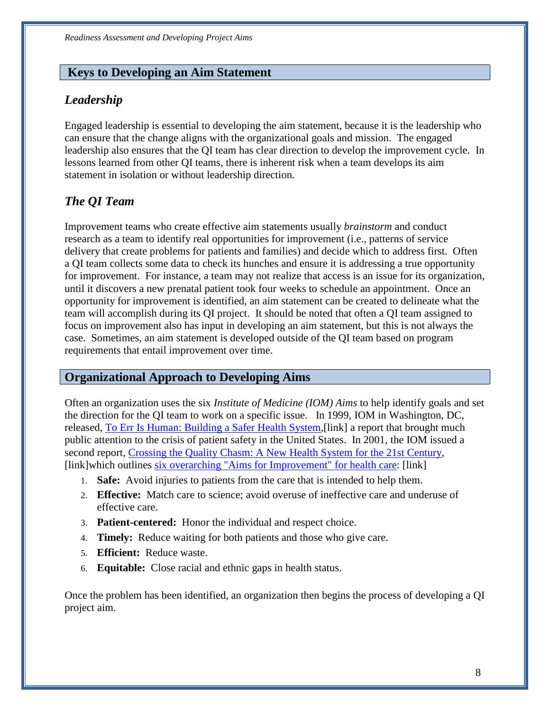#### <span id="page-9-0"></span>**Keys to Developing an Aim Statement**

### *Leadership*

 Engaged leadership is essential to developing the aim statement, because it is the leadership who leadership also ensures that the QI team has clear direction to develop the improvement cycle. In lessons learned from other QI teams, there is inherent risk when a team develops its aim can ensure that the change aligns with the organizational goals and mission. The engaged statement in isolation or without leadership direction.

### *The QI Team*

 Improvement teams who create effective aim statements usually *brainstorm* and conduct research as a team to identify real opportunities for improvement (i.e., patterns of service a QI team collects some data to check its hunches and ensure it is addressing a true opportunity for improvement. For instance, a team may not realize that access is an issue for its organization, opportunity for improvement is identified, an aim statement can be created to delineate what the delivery that create problems for patients and families) and decide which to address first. Often until it discovers a new prenatal patient took four weeks to schedule an appointment. Once an team will accomplish during its QI project. It should be noted that often a QI team assigned to focus on improvement also has input in developing an aim statement, but this is not always the case. Sometimes, an aim statement is developed outside of the QI team based on program requirements that entail improvement over time.

#### <span id="page-9-1"></span>**Organizational Approach to Developing Aims**

Often an organization uses the six *Institute of Medicine (IOM) Aims* to help identify goals and set the direction for the QI team to work on a specific issue. In 1999, IOM in Washington, DC, released, [To Err Is Human: Building a Safer Health System,](http://www.ihi.org/IHI/Topics/Improvement/ImprovementMethods/Literature/ToErrIsHuman.htm)[link] a report that brought much public attention to the crisis of patient safety in the United States. In 2001, the IOM issued a second report, [Crossing the Quality Chasm: A New Health System for the 21st Century,](http://www.ihi.org/IHI/Topics/Improvement/ImprovementMethods/Literature/CrossingtheQualityChasmANewHealthSystemforthe21stCentury.htm) [link]which outlines [six overarching "Aims for Improvement" for health care:](http://www.ihi.org/IHI/Topics/Improvement/ImprovementMethods/ImprovementStories/Across+the+Chasm+Six+Aims+for+Changing+the+Health+Care+System.htm) [link]

- 1. **Safe:** Avoid injuries to patients from the care that is intended to help them.
- 2. **Effective:** Match care to science; avoid overuse of ineffective care and underuse of effective care.
- 3. **Patient-centered:** Honor the individual and respect choice.
- 4. **Timely:** Reduce waiting for both patients and those who give care.
- 5. **Efficient:** Reduce waste.
- 6. **Equitable:** Close racial and ethnic gaps in health status.

Once the problem has been identified, an organization then begins the process of developing a QI project aim.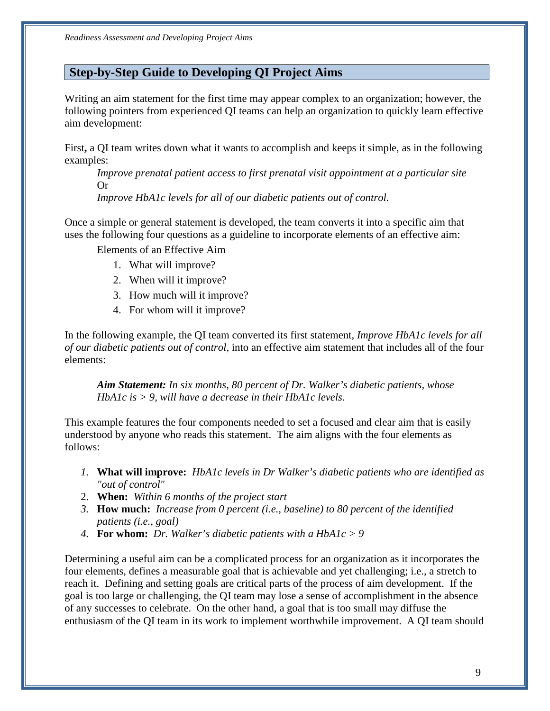### <span id="page-10-0"></span>**Step-by-Step Guide to Developing QI Project Aims**

aim development: Writing an aim statement for the first time may appear complex to an organization; however, the following pointers from experienced QI teams can help an organization to quickly learn effective

aim development:<br>First**,** a QI team writes down what it wants to accomplish and keeps it simple, as in the following examples:

Improve prenatal patient access to first prenatal visit appointment at a particular site Or

*Improve HbA1c levels for all of our diabetic patients out of control.* 

 Once a simple or general statement is developed, the team converts it into a specific aim that uses the following four questions as a guideline to incorporate elements of an effective aim:

Elements of an Effective Aim

- 1. What will improve?
- 2. When will it improve?
- 3. How much will it improve?
- 4. For whom will it improve?

In the following example, the QI team converted its first statement, *Improve HbA1c levels for all of our diabetic patients out of control,* into an effective aim statement that includes all of the four elements:

*Aim Statement: In six months, 80 percent of Dr. Walker's diabetic patients, whose HbA1c is > 9, will have a decrease in their HbA1c levels.* 

 understood by anyone who reads this statement. The aim aligns with the four elements as This example features the four components needed to set a focused and clear aim that is easily follows:

- *1.* **What will improve:** *HbA1c levels in Dr Walker's diabetic patients who are identified as "out of control"*
- 2. **When:** *Within 6 months of the project start*
- *3.* **How much:** *Increase from 0 percent (i.e., baseline) to 80 percent of the identified patients (i.e., goal)*
- *4.* **For whom:** *Dr. Walker's diabetic patients with a HbA1c > 9*

 reach it. Defining and setting goals are critical parts of the process of aim development. If the Determining a useful aim can be a complicated process for an organization as it incorporates the four elements, defines a measurable goal that is achievable and yet challenging; i.e., a stretch to goal is too large or challenging, the QI team may lose a sense of accomplishment in the absence of any successes to celebrate. On the other hand, a goal that is too small may diffuse the enthusiasm of the QI team in its work to implement worthwhile improvement. A QI team should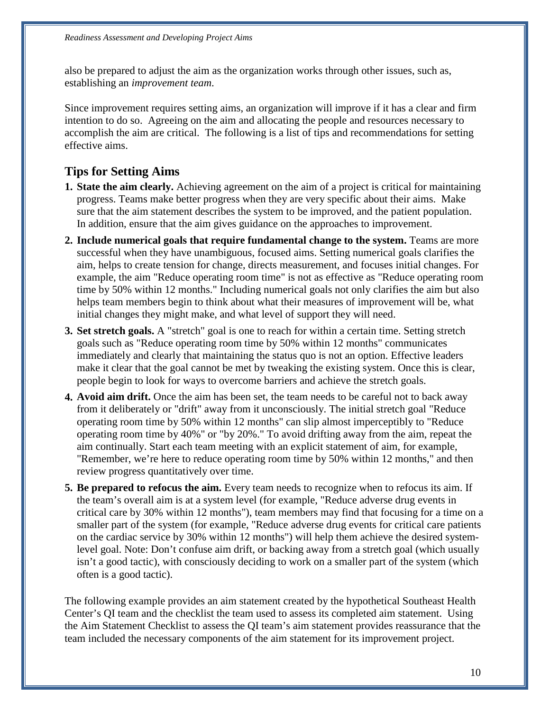also be prepared to adjust the aim as the organization works through other issues, such as, establishing an *improvement team*.

 Since improvement requires setting aims, an organization will improve if it has a clear and firm effective aims. intention to do so. Agreeing on the aim and allocating the people and resources necessary to accomplish the aim are critical. The following is a list of tips and recommendations for setting

### **Tips for Setting Aims**

- progress. Teams make better progress when they are very specific about their aims. Make **1. State the aim clearly.** Achieving agreement on the aim of a project is critical for maintaining sure that the aim statement describes the system to be improved, and the patient population. In addition, ensure that the aim gives guidance on the approaches to improvement.
- example, the aim "Reduce operating room time" is not as effective as "Reduce operating room **2. Include numerical goals that require fundamental change to the system.** Teams are more successful when they have unambiguous, focused aims. Setting numerical goals clarifies the aim, helps to create tension for change, directs measurement, and focuses initial changes. For time by 50% within 12 months." Including numerical goals not only clarifies the aim but also helps team members begin to think about what their measures of improvement will be, what initial changes they might make, and what level of support they will need.
- **3. Set stretch goals.** A "stretch" goal is one to reach for within a certain time. Setting stretch goals such as "Reduce operating room time by 50% within 12 months" communicates immediately and clearly that maintaining the status quo is not an option. Effective leaders make it clear that the goal cannot be met by tweaking the existing system. Once this is clear, people begin to look for ways to overcome barriers and achieve the stretch goals.
- operating room time by 40%" or "by 20%." To avoid drifting away from the aim, repeat the **4. Avoid aim drift.** Once the aim has been set, the team needs to be careful not to back away from it deliberately or "drift" away from it unconsciously. The initial stretch goal "Reduce operating room time by 50% within 12 months" can slip almost imperceptibly to "Reduce aim continually. Start each team meeting with an explicit statement of aim, for example, "Remember, we're here to reduce operating room time by 50% within 12 months," and then review progress quantitatively over time.
- the team's overall aim is at a system level (for example, "Reduce adverse drug events in critical care by 30% within 12 months"), team members may find that focusing for a time on a **5. Be prepared to refocus the aim.** Every team needs to recognize when to refocus its aim. If smaller part of the system (for example, "Reduce adverse drug events for critical care patients on the cardiac service by 30% within 12 months") will help them achieve the desired systemlevel goal. Note: Don't confuse aim drift, or backing away from a stretch goal (which usually isn't a good tactic), with consciously deciding to work on a smaller part of the system (which often is a good tactic).

The following example provides an aim statement created by the hypothetical Southeast Health Center's QI team and the checklist the team used to assess its completed aim statement. Using the Aim Statement Checklist to assess the QI team's aim statement provides reassurance that the team included the necessary components of the aim statement for its improvement project.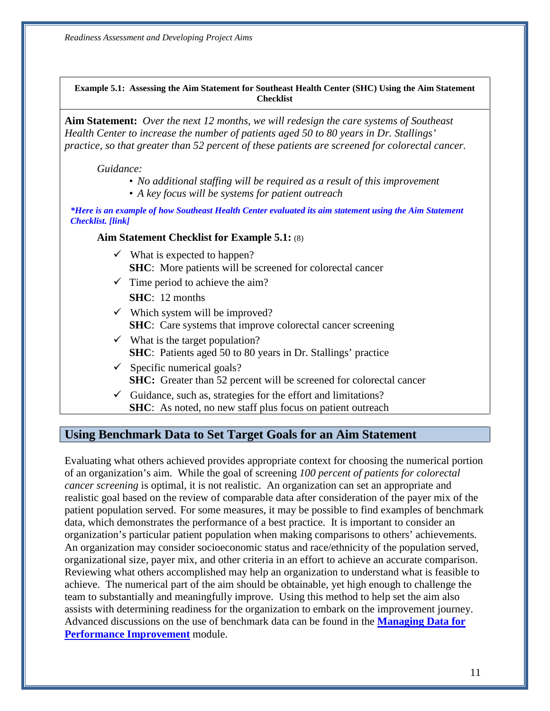#### **Example 5.1: Assessing the Aim Statement for Southeast Health Center (SHC) Using the Aim Statement Checklist**

**Aim Statement:** *Over the next 12 months*, *we will redesign the care systems of Southeast Health Center to increase the number of patients aged 50 to 80 years in Dr. Stallings' practice, so that greater than 52 percent of these patients are screened for colorectal cancer.* 

*Guidance:* 

- *No additional staffing will be required as a result of this improvement*
- *A key focus will be systems for patient outreach*

*\*Here is an example of how Southeast Health Center evaluated its aim statement using the Aim Statement Checklist. [link]* 

#### **Aim Statement Checklist for Example 5.1:** (8)

- **SHC**: More patients will be screened for colorectal cancer  $\checkmark$  What is expected to happen?
- $\checkmark$  Time period to achieve the aim?
	- **SHC**: 12 months
- $\checkmark$  Which system will be improved? **SHC**: Care systems that improve colorectal cancer screening
- **SHC**: Patients aged 50 to 80 years in Dr. Stallings' practice  $\checkmark$  What is the target population?
- $\checkmark$  Specific numerical goals? **SHC:** Greater than 52 percent will be screened for colorectal cancer
- $\checkmark$  Guidance, such as, strategies for the effort and limitations? **SHC**: As noted, no new staff plus focus on patient outreach

#### <span id="page-12-0"></span>**Using Benchmark Data to Set Target Goals for an Aim Statement**

 patient population served. For some measures, it may be possible to find examples of benchmark data, which demonstrates the performance of a best practice. It is important to consider an organizational size, payer mix, and other criteria in an effort to achieve an accurate comparison. team to substantially and meaningfully improve. Using this method to help set the aim also Advanced discussions on the use of benchmark data can be found in the **Managing Data for**  Evaluating what others achieved provides appropriate context for choosing the numerical portion of an organization's aim. While the goal of screening *100 percent of patients for colorectal cancer screening* is optimal, it is not realistic. An organization can set an appropriate and realistic goal based on the review of comparable data after consideration of the payer mix of the organization's particular patient population when making comparisons to others' achievements. An organization may consider socioeconomic status and race/ethnicity of the population served, Reviewing what others accomplished may help an organization to understand what is feasible to achieve. The numerical part of the aim should be obtainable, yet high enough to challenge the assists with determining readiness for the organization to embark on the improvement journey. **Performance Improvement** module.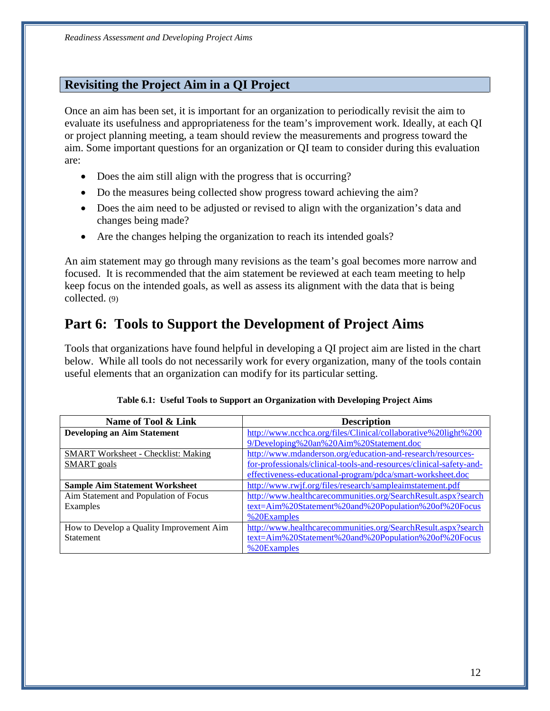### <span id="page-13-0"></span>**Revisiting the Project Aim in a QI Project**

Once an aim has been set, it is important for an organization to periodically revisit the aim to evaluate its usefulness and appropriateness for the team's improvement work. Ideally, at each QI or project planning meeting, a team should review the measurements and progress toward the aim. Some important questions for an organization or QI team to consider during this evaluation are:

- Does the aim still align with the progress that is occurring?
- Do the measures being collected show progress toward achieving the aim?
- Does the aim need to be adjusted or revised to align with the organization's data and changes being made?
- Are the changes helping the organization to reach its intended goals?

 An aim statement may go through many revisions as the team's goal becomes more narrow and focused. It is recommended that the aim statement be reviewed at each team meeting to help keep focus on the intended goals, as well as assess its alignment with the data that is being collected. (9)

# <span id="page-13-1"></span> **Part 6: Tools to Support the Development of Project Aims**

 useful elements that an organization can modify for its particular setting. Tools that organizations have found helpful in developing a QI project aim are listed in the chart below. While all tools do not necessarily work for every organization, many of the tools contain

| Name of Tool & Link                        | <b>Description</b>                                                  |  |  |
|--------------------------------------------|---------------------------------------------------------------------|--|--|
| <b>Developing an Aim Statement</b>         | http://www.ncchca.org/files/Clinical/collaborative%20light%200      |  |  |
|                                            | 9/Developing%20an%20Aim%20Statement.doc                             |  |  |
| <b>SMART Worksheet - Checklist: Making</b> | http://www.mdanderson.org/education-and-research/resources-         |  |  |
| <b>SMART</b> goals                         | for-professionals/clinical-tools-and-resources/clinical-safety-and- |  |  |
|                                            | effectiveness-educational-program/pdca/smart-worksheet.doc          |  |  |
| <b>Sample Aim Statement Worksheet</b>      | http://www.rwjf.org/files/research/sampleaimstatement.pdf           |  |  |
| Aim Statement and Population of Focus      | http://www.healthcarecommunities.org/SearchResult.aspx?search       |  |  |
| Examples                                   | text=Aim%20Statement%20and%20Population%20of%20Focus                |  |  |
|                                            | %20Examples                                                         |  |  |
| How to Develop a Quality Improvement Aim   | http://www.healthcarecommunities.org/SearchResult.aspx?search       |  |  |
| <b>Statement</b>                           | text=Aim%20Statement%20and%20Population%20of%20Focus                |  |  |
|                                            | %20Examples                                                         |  |  |

| Table 6.1: Useful Tools to Support an Organization with Developing Project Aims |  |  |
|---------------------------------------------------------------------------------|--|--|
|---------------------------------------------------------------------------------|--|--|